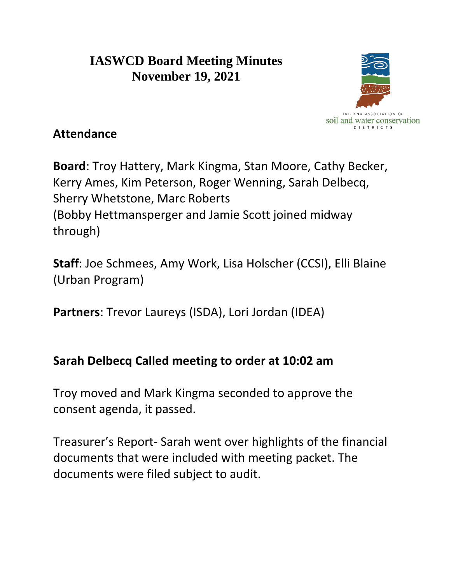## **IASWCD Board Meeting Minutes November 19, 2021**



## **Attendance**

**Board**: Troy Hattery, Mark Kingma, Stan Moore, Cathy Becker, Kerry Ames, Kim Peterson, Roger Wenning, Sarah Delbecq, Sherry Whetstone, Marc Roberts (Bobby Hettmansperger and Jamie Scott joined midway through)

**Staff**: Joe Schmees, Amy Work, Lisa Holscher (CCSI), Elli Blaine (Urban Program)

**Partners**: Trevor Laureys (ISDA), Lori Jordan (IDEA)

## **Sarah Delbecq Called meeting to order at 10:02 am**

Troy moved and Mark Kingma seconded to approve the consent agenda, it passed.

Treasurer's Report- Sarah went over highlights of the financial documents that were included with meeting packet. The documents were filed subject to audit.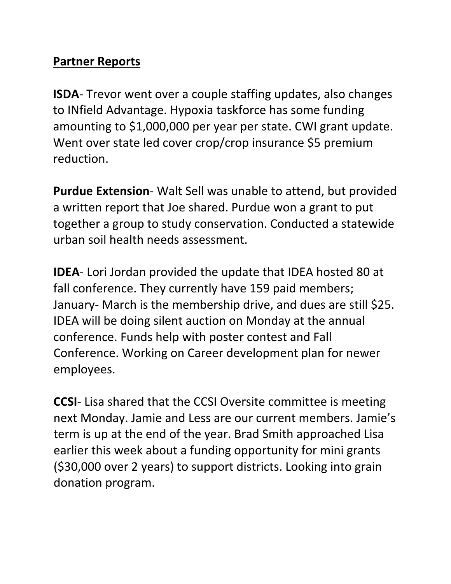### **Partner Reports**

**ISDA**- Trevor went over a couple staffing updates, also changes to INfield Advantage. Hypoxia taskforce has some funding amounting to \$1,000,000 per year per state. CWI grant update. Went over state led cover crop/crop insurance \$5 premium reduction.

**Purdue Extension**- Walt Sell was unable to attend, but provided a written report that Joe shared. Purdue won a grant to put together a group to study conservation. Conducted a statewide urban soil health needs assessment.

**IDEA**- Lori Jordan provided the update that IDEA hosted 80 at fall conference. They currently have 159 paid members; January- March is the membership drive, and dues are still \$25. IDEA will be doing silent auction on Monday at the annual conference. Funds help with poster contest and Fall Conference. Working on Career development plan for newer employees.

**CCSI**- Lisa shared that the CCSI Oversite committee is meeting next Monday. Jamie and Less are our current members. Jamie's term is up at the end of the year. Brad Smith approached Lisa earlier this week about a funding opportunity for mini grants (\$30,000 over 2 years) to support districts. Looking into grain donation program.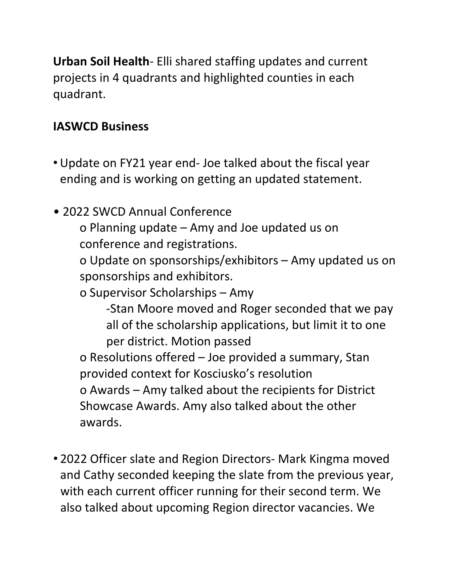**Urban Soil Health**- Elli shared staffing updates and current projects in 4 quadrants and highlighted counties in each quadrant.

#### **IASWCD Business**

- Update on FY21 year end- Joe talked about the fiscal year ending and is working on getting an updated statement.
- 2022 SWCD Annual Conference

o Planning update – Amy and Joe updated us on conference and registrations.

o Update on sponsorships/exhibitors – Amy updated us on sponsorships and exhibitors.

o Supervisor Scholarships – Amy

-Stan Moore moved and Roger seconded that we pay all of the scholarship applications, but limit it to one per district. Motion passed o Resolutions offered – Joe provided a summary, Stan provided context for Kosciusko's resolution o Awards – Amy talked about the recipients for District Showcase Awards. Amy also talked about the other awards.

• 2022 Officer slate and Region Directors- Mark Kingma moved and Cathy seconded keeping the slate from the previous year, with each current officer running for their second term. We also talked about upcoming Region director vacancies. We